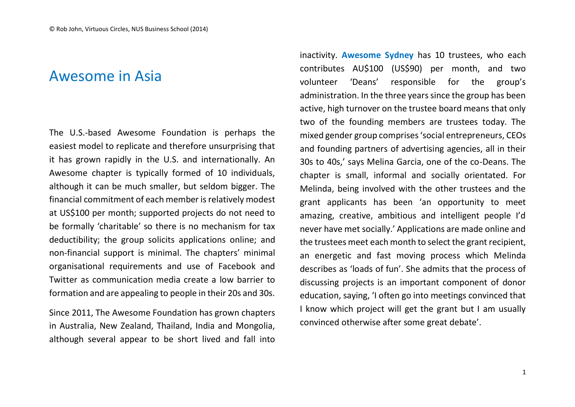## Awesome in Asia

The U.S.-based Awesome Foundation is perhaps the easiest model to replicate and therefore unsurprising that it has grown rapidly in the U.S. and internationally. An Awesome chapter is typically formed of 10 individuals, although it can be much smaller, but seldom bigger. The financial commitment of each member is relatively modest at US\$100 per month; supported projects do not need to be formally 'charitable' so there is no mechanism for tax deductibility; the group solicits applications online; and non-financial support is minimal. The chapters' minimal organisational requirements and use of Facebook and Twitter as communication media create a low barrier to formation and are appealing to people in their 20s and 30s.

Since 2011, The Awesome Foundation has grown chapters in Australia, New Zealand, Thailand, India and Mongolia, although several appear to be short lived and fall into inactivity. **Awesome Sydney** has 10 trustees, who each contributes AU\$100 (US\$90) per month, and two volunteer 'Deans' responsible for the group's administration. In the three years since the group has been active, high turnover on the trustee board means that only two of the founding members are trustees today. The mixed gender group comprises 'social entrepreneurs, CEOs and founding partners of advertising agencies, all in their 30s to 40s,' says Melina Garcia, one of the co-Deans. The chapter is small, informal and socially orientated. For Melinda, being involved with the other trustees and the grant applicants has been 'an opportunity to meet amazing, creative, ambitious and intelligent people I'd never have met socially.' Applications are made online and the trustees meet each month to select the grant recipient, an energetic and fast moving process which Melinda describes as 'loads of fun'. She admits that the process of discussing projects is an important component of donor education, saying, 'I often go into meetings convinced that I know which project will get the grant but I am usually convinced otherwise after some great debate'.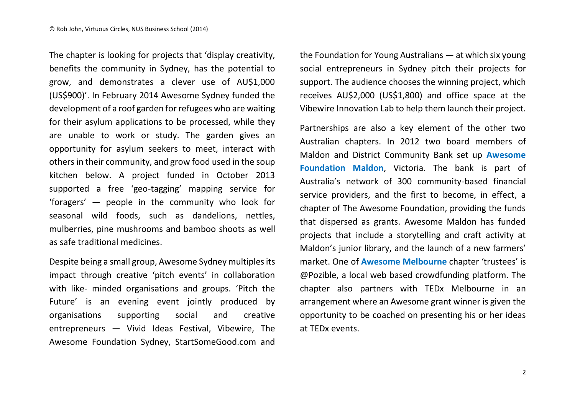The chapter is looking for projects that 'display creativity, benefits the community in Sydney, has the potential to grow, and demonstrates a clever use of AU\$1,000 (US\$900)'. In February 2014 Awesome Sydney funded the development of a roof garden for refugees who are waiting for their asylum applications to be processed, while they are unable to work or study. The garden gives an opportunity for asylum seekers to meet, interact with others in their community, and grow food used in the soup kitchen below. A project funded in October 2013 supported a free 'geo-tagging' mapping service for 'foragers' — people in the community who look for seasonal wild foods, such as dandelions, nettles, mulberries, pine mushrooms and bamboo shoots as well as safe traditional medicines.

Despite being a small group, Awesome Sydney multiples its impact through creative 'pitch events' in collaboration with like- minded organisations and groups. 'Pitch the Future' is an evening event jointly produced by organisations supporting social and creative entrepreneurs — Vivid Ideas Festival, Vibewire, The Awesome Foundation Sydney, StartSomeGood.com and the Foundation for Young Australians — at which six young social entrepreneurs in Sydney pitch their projects for support. The audience chooses the winning project, which receives AU\$2,000 (US\$1,800) and office space at the Vibewire Innovation Lab to help them launch their project.

Partnerships are also a key element of the other two Australian chapters. In 2012 two board members of Maldon and District Community Bank set up **Awesome Foundation Maldon**, Victoria. The bank is part of Australia's network of 300 community-based financial service providers, and the first to become, in effect, a chapter of The Awesome Foundation, providing the funds that dispersed as grants. Awesome Maldon has funded projects that include a storytelling and craft activity at Maldon's junior library, and the launch of a new farmers' market. One of **Awesome Melbourne** chapter 'trustees' is @Pozible, a local web based crowdfunding platform. The chapter also partners with TEDx Melbourne in an arrangement where an Awesome grant winner is given the opportunity to be coached on presenting his or her ideas at TEDx events.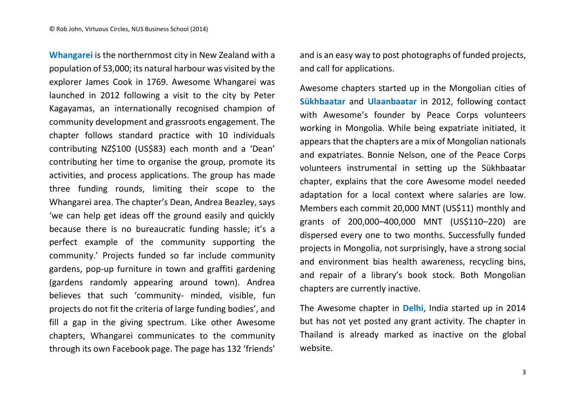**Whangarei** is the northernmost city in New Zealand with a population of 53,000; its natural harbour was visited by the explorer James Cook in 1769. Awesome Whangarei was launched in 2012 following a visit to the city by Peter Kagayamas, an internationally recognised champion of community development and grassroots engagement. The chapter follows standard practice with 10 individuals contributing NZ\$100 (US\$83) each month and a 'Dean' contributing her time to organise the group, promote its activities, and process applications. The group has made three funding rounds, limiting their scope to the Whangarei area. The chapter's Dean, Andrea Beazley, says 'we can help get ideas off the ground easily and quickly because there is no bureaucratic funding hassle; it's a perfect example of the community supporting the community.' Projects funded so far include community gardens, pop-up furniture in town and graffiti gardening (gardens randomly appearing around town). Andrea believes that such 'community- minded, visible, fun projects do not fit the criteria of large funding bodies', and fill a gap in the giving spectrum. Like other Awesome chapters, Whangarei communicates to the community through its own Facebook page. The page has 132 'friends'

and is an easy way to post photographs of funded projects, and call for applications.

Awesome chapters started up in the Mongolian cities of **Sükhbaatar** and **Ulaanbaatar** in 2012, following contact with Awesome's founder by Peace Corps volunteers working in Mongolia. While being expatriate initiated, it appears that the chapters are a mix of Mongolian nationals and expatriates. Bonnie Nelson, one of the Peace Corps volunteers instrumental in setting up the Sükhbaatar chapter, explains that the core Awesome model needed adaptation for a local context where salaries are low. Members each commit 20,000 MNT (US\$11) monthly and grants of 200,000–400,000 MNT (US\$110–220) are dispersed every one to two months. Successfully funded projects in Mongolia, not surprisingly, have a strong social and environment bias health awareness, recycling bins, and repair of a library's book stock. Both Mongolian chapters are currently inactive.

The Awesome chapter in **Delhi**, India started up in 2014 but has not yet posted any grant activity. The chapter in Thailand is already marked as inactive on the global website.